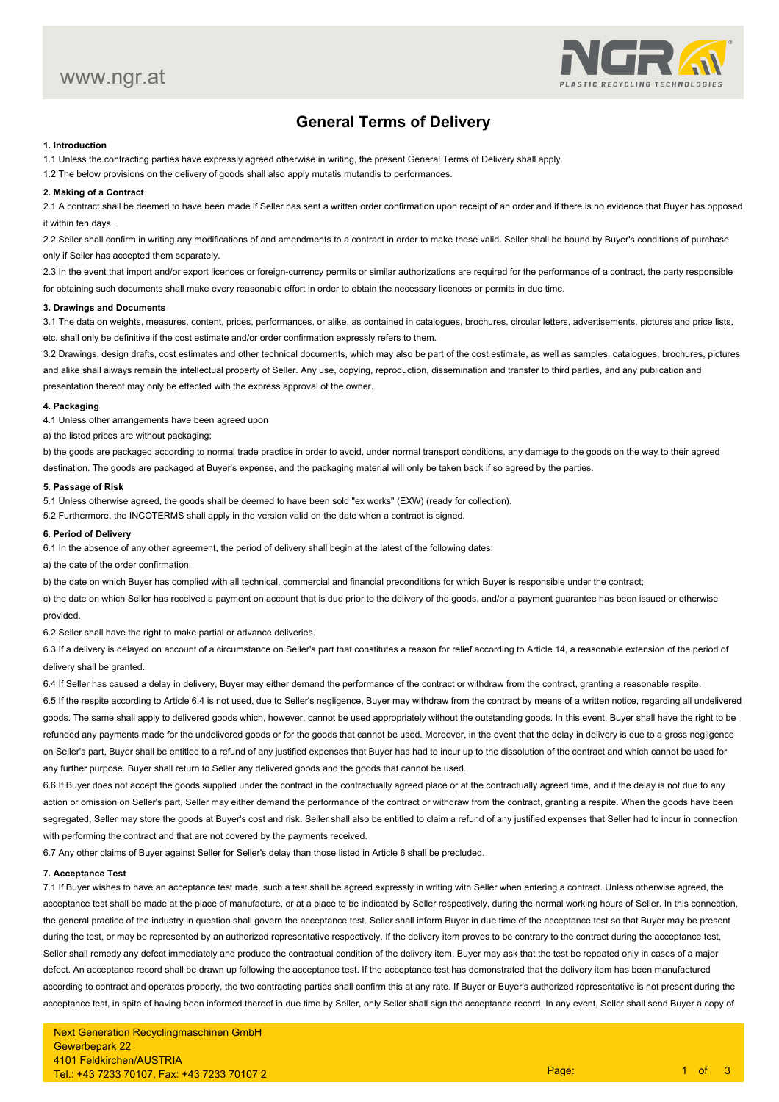

# **General Terms of Delivery**

# **1. Introduction**

1.1 Unless the contracting parties have expressly agreed otherwise in writing, the present General Terms of Delivery shall apply.

1.2 The below provisions on the delivery of goods shall also apply mutatis mutandis to performances.

# **2. Making of a Contract**

 2.1 A contract shall be deemed to have been made if Seller has sent a written order confirmation upon receipt of an order and if there is no evidence that Buyer has opposedit within ten days.

2.2 Seller shall confirm in writing any modifications of and amendments to a contract in order to make these valid. Seller shall be bound by Buyer's conditions of purchase only if Seller has accepted them separately.

2.3 In the event that import and/or export licences or foreign-currency permits or similar authorizations are required for the performance of a contract, the party responsible for obtaining such documents shall make every reasonable effort in order to obtain the necessary licences or permits in due time.

# **3. Drawings and Documents**

3.1 The data on weights, measures, content, prices, performances, or alike, as contained in catalogues, brochures, circular letters, advertisements, pictures and price lists, etc. shall only be definitive if the cost estimate and/or order confirmation expressly refers to them.

3.2 Drawings, design drafts, cost estimates and other technical documents, which may also be part of the cost estimate, as well as samples, catalogues, brochures, picturesand alike shall always remain the intellectual property of Seller. Any use, copying, reproduction, dissemination and transfer to third parties, and any publication andpresentation thereof may only be effected with the express approval of the owner.

#### **4. Packaging**

4.1 Unless other arrangements have been agreed upon

a) the listed prices are without packaging;

b) the goods are packaged according to normal trade practice in order to avoid, under normal transport conditions, any damage to the goods on the way to their agreeddestination. The goods are packaged at Buyer's expense, and the packaging material will only be taken back if so agreed by the parties.

### **5. Passage of Risk**

5.1 Unless otherwise agreed, the goods shall be deemed to have been sold "ex works" (EXW) (ready for collection).

5.2 Furthermore, the INCOTERMS shall apply in the version valid on the date when a contract is signed.

# **6. Period of Delivery**

6.1 In the absence of any other agreement, the period of delivery shall begin at the latest of the following dates:

a) the date of the order confirmation;

b) the date on which Buyer has complied with all technical, commercial and financial preconditions for which Buyer is responsible under the contract;

c) the date on which Seller has received a payment on account that is due prior to the delivery of the goods, and/or a payment guarantee has been issued or otherwise provided.

6.2 Seller shall have the right to make partial or advance deliveries.

6.3 If a delivery is delayed on account of a circumstance on Seller's part that constitutes a reason for relief according to Article 14, a reasonable extension of the period ofdelivery shall be granted.

6.4 If Seller has caused a delay in delivery, Buyer may either demand the performance of the contract or withdraw from the contract, granting a reasonable respite.6.5 If the respite according to Article 6.4 is not used, due to Seller's negligence, Buyer may withdraw from the contract by means of a written notice, regarding all undeliveredgoods. The same shall apply to delivered goods which, however, cannot be used appropriately without the outstanding goods, In this event. Buyer shall have the right to be refunded any payments made for the undelivered goods or for the goods that cannot be used. Moreover, in the event that the delay in delivery is due to a gross negligence on Seller's part, Buyer shall be entitled to a refund of any justified expenses that Buyer has had to incur up to the dissolution of the contract and which cannot be used for

any further purpose. Buyer shall return to Seller any delivered goods and the goods that cannot be used.

6.6 If Buyer does not accept the goods supplied under the contract in the contractually agreed place or at the contractually agreed time, and if the delay is not due to any action or omission on Seller's part, Seller may either demand the performance of the contract or withdraw from the contract, granting a respite. When the goods have been segregated, Seller may store the goods at Buyer's cost and risk. Seller shall also be entitled to claim a refund of any justified expenses that Seller had to incur in connection with performing the contract and that are not covered by the payments received.

6.7 Any other claims of Buyer against Seller for Seller's delay than those listed in Article 6 shall be precluded.

# **7. Acceptance Test**

7.1 If Buyer wishes to have an acceptance test made, such a test shall be agreed expressly in writing with Seller when entering a contract. Unless otherwise agreed, theacceptance test shall be made at the place of manufacture, or at a place to be indicated by Seller respectively, during the normal working hours of Seller. In this connection, the general practice of the industry in question shall govern the acceptance test. Seller shall inform Buyer in due time of the acceptance test so that Buyer may be presentduring the test, or may be represented by an authorized representative respectively. If the delivery item proves to be contrary to the contract during the acceptance test, Seller shall remedy any defect immediately and produce the contractual condition of the delivery item. Buyer may ask that the test be repeated only in cases of a major defect. An acceptance record shall be drawn up following the acceptance test. If the acceptance test has demonstrated that the delivery item has been manufactured according to contract and operates properly, the two contracting parties shall confirm this at any rate. If Buyer or Buyer's authorized representative is not present during theacceptance test, in spite of having been informed thereof in due time by Seller, only Seller shall sign the acceptance record. In any event, Seller shall send Buyer a copy of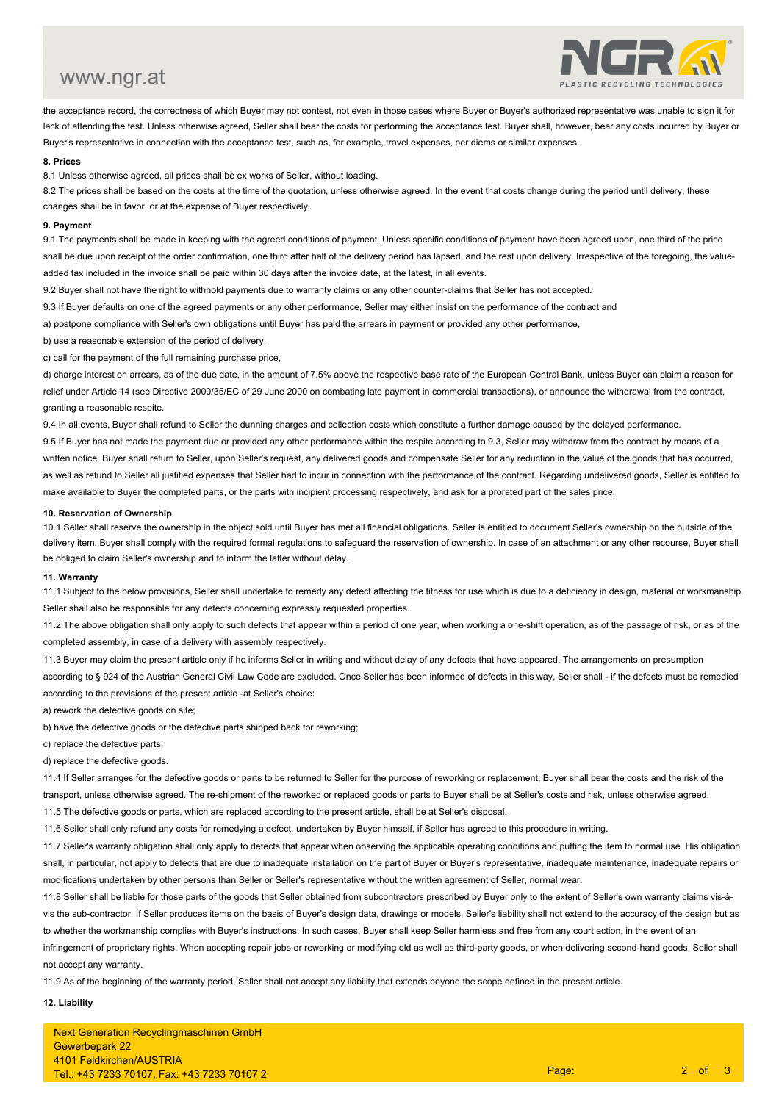# www.ngr.at



the acceptance record, the correctness of which Buyer may not contest, not even in those cases where Buyer or Buyer's authorized representative was unable to sign it forlack of attending the test. Unless otherwise agreed, Seller shall bear the costs for performing the acceptance test. Buyer shall, however, bear any costs incurred by Buyer or Buyer's representative in connection with the acceptance test, such as, for example, travel expenses, per diems or similar expenses.

### **8. Prices**

8.1 Unless otherwise agreed, all prices shall be ex works of Seller, without loading.

8.2 The prices shall be based on the costs at the time of the quotation, unless otherwise agreed. In the event that costs change during the period until delivery, these changes shall be in favor, or at the expense of Buyer respectively.

#### **9. Payment**

 9.1 The payments shall be made in keeping with the agreed conditions of payment. Unless specific conditions of payment have been agreed upon, one third of the priceshall be due upon receipt of the order confirmation, one third after half of the delivery period has lapsed, and the rest upon delivery. Irrespective of the foregoing, the value-

added tax included in the invoice shall be paid within 30 days after the invoice date, at the latest, in all events.

9.2 Buyer shall not have the right to withhold payments due to warranty claims or any other counter-claims that Seller has not accepted.

9.3 If Buyer defaults on one of the agreed payments or any other performance, Seller may either insist on the performance of the contract and

a) postpone compliance with Seller's own obligations until Buyer has paid the arrears in payment or provided any other performance,

b) use a reasonable extension of the period of delivery,

c) call for the payment of the full remaining purchase price,

d) charge interest on arrears, as of the due date, in the amount of 7.5% above the respective base rate of the European Central Bank, unless Buyer can claim a reason forrelief under Article 14 (see Directive 2000/35/EC of 29 June 2000 on combating late payment in commercial transactions), or announce the withdrawal from the contract, granting a reasonable respite.

9.4 In all events, Buyer shall refund to Seller the dunning charges and collection costs which constitute a further damage caused by the delayed performance.

9.5 If Buyer has not made the payment due or provided any other performance within the respite according to 9.3, Seller may withdraw from the contract by means of a written notice. Buyer shall return to Seller, upon Seller's request, any delivered goods and compensate Seller for any reduction in the value of the goods that has occurred, as well as refund to Seller all justified expenses that Seller had to incur in connection with the performance of the contract. Regarding undelivered goods, Seller is entitled to make available to Buyer the completed parts, or the parts with incipient processing respectively, and ask for a prorated part of the sales price.

#### **10. Reservation of Ownership**

 10.1 Seller shall reserve the ownership in the object sold until Buyer has met all financial obligations. Seller is entitled to document Seller's ownership on the outside of the delivery item. Buyer shall comply with the required formal regulations to safeguard the reservation of ownership. In case of an attachment or any other recourse, Buyer shall be obliged to claim Seller's ownership and to inform the latter without delay.

#### **11. Warranty**

 11.1 Subject to the below provisions, Seller shall undertake to remedy any defect affecting the fitness for use which is due to a deficiency in design, material or workmanship.Seller shall also be responsible for any defects concerning expressly requested properties.

11.2 The above obligation shall only apply to such defects that appear within a period of one year, when working a one-shift operation, as of the passage of risk, or as of the completed assembly, in case of a delivery with assembly respectively.

11.3 Buyer may claim the present article only if he informs Seller in writing and without delay of any defects that have appeared. The arrangements on presumptionaccording to § 924 of the Austrian General Civil Law Code are excluded. Once Seller has been informed of defects in this way, Seller shall - if the defects must be remedied according to the provisions of the present article -at Seller's choice:

a) rework the defective goods on site;

b) have the defective goods or the defective parts shipped back for reworking;

c) replace the defective parts;

d) replace the defective goods.

11.4 If Seller arranges for the defective goods or parts to be returned to Seller for the purpose of reworking or replacement, Buyer shall bear the costs and the risk of the transport, unless otherwise agreed. The re-shipment of the reworked or replaced goods or parts to Buyer shall be at Seller's costs and risk, unless otherwise agreed.11.5 The defective goods or parts, which are replaced according to the present article, shall be at Seller's disposal.

11.6 Seller shall only refund any costs for remedying a defect, undertaken by Buyer himself, if Seller has agreed to this procedure in writing.

11.7 Seller's warranty obligation shall only apply to defects that appear when observing the applicable operating conditions and putting the item to normal use. His obligation shall, in particular, not apply to defects that are due to inadequate installation on the part of Buyer or Buyer's representative, inadequate maintenance, inadequate repairs or modifications undertaken by other persons than Seller or Seller's representative without the written agreement of Seller, normal wear.

11.8 Seller shall be liable for those parts of the goods that Seller obtained from subcontractors prescribed by Buyer only to the extent of Seller's own warranty claims vis-àvis the sub-contractor. If Seller produces items on the basis of Buyer's design data, drawings or models, Seller's liability shall not extend to the accuracy of the design but asto whether the workmanship complies with Buyer's instructions. In such cases, Buyer shall keep Seller harmless and free from any court action, in the event of aninfringement of proprietary rights. When accepting repair jobs or reworking or modifying old as well as third-party goods, or when delivering second-hand goods, Seller shall

11.9 As of the beginning of the warranty period, Seller shall not accept any liability that extends beyond the scope defined in the present article.

# **12. Liability**

not accept any warranty.

Next Generation Recyclingmaschinen GmbHGewerbepark 22 4101 Feldkirchen/AUSTRIATel.: +43 7233 70107, Fax: +43 7233 70107 2